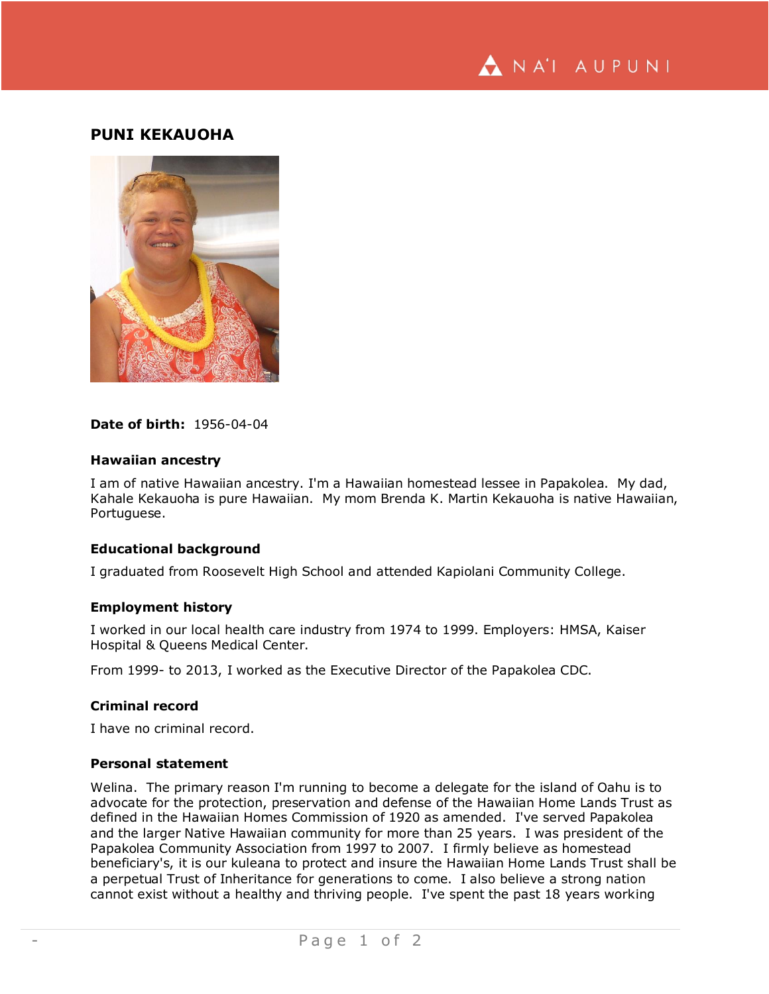

# **PUNI KEKAUOHA**



# **Date of birth:** 1956-04-04

#### **Hawaiian ancestry**

I am of native Hawaiian ancestry. I'm a Hawaiian homestead lessee in Papakolea. My dad, Kahale Kekauoha is pure Hawaiian. My mom Brenda K. Martin Kekauoha is native Hawaiian, Portuguese.

# **Educational background**

I graduated from Roosevelt High School and attended Kapiolani Community College.

### **Employment history**

I worked in our local health care industry from 1974 to 1999. Employers: HMSA, Kaiser Hospital & Queens Medical Center.

From 1999- to 2013, I worked as the Executive Director of the Papakolea CDC.

# **Criminal record**

I have no criminal record.

#### **Personal statement**

Welina. The primary reason I'm running to become a delegate for the island of Oahu is to advocate for the protection, preservation and defense of the Hawaiian Home Lands Trust as defined in the Hawaiian Homes Commission of 1920 as amended. I've served Papakolea and the larger Native Hawaiian community for more than 25 years. I was president of the Papakolea Community Association from 1997 to 2007. I firmly believe as homestead beneficiary's, it is our kuleana to protect and insure the Hawaiian Home Lands Trust shall be a perpetual Trust of Inheritance for generations to come. I also believe a strong nation cannot exist without a healthy and thriving people. I've spent the past 18 years working